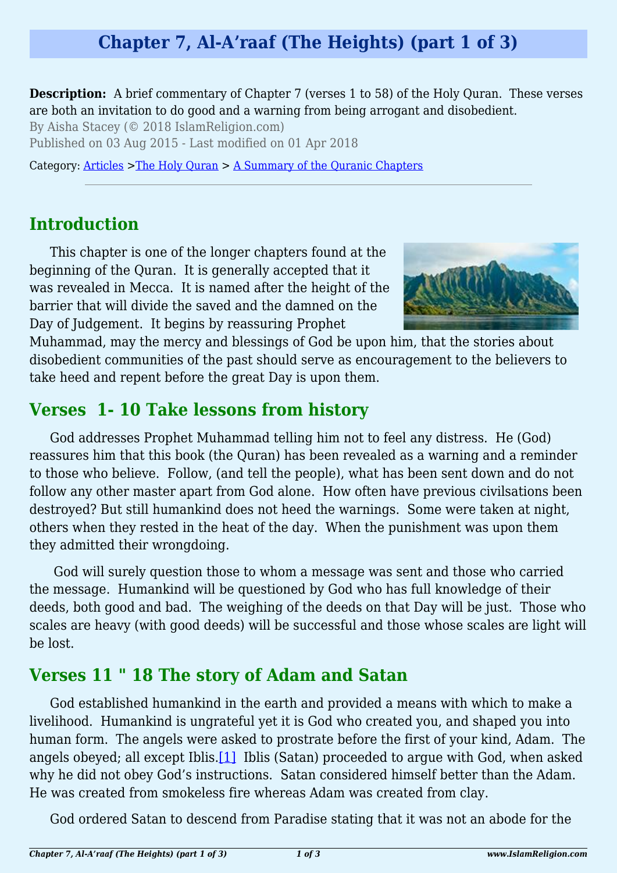# **Chapter 7, Al-A'raaf (The Heights) (part 1 of 3)**

**Description:** A brief commentary of Chapter 7 (verses 1 to 58) of the Holy Quran. These verses are both an invitation to do good and a warning from being arrogant and disobedient.

By Aisha Stacey (© 2018 IslamReligion.com)

Published on 03 Aug 2015 - Last modified on 01 Apr 2018

Category: [Articles](http://www.islamreligion.com/articles/) >[The Holy Quran](http://www.islamreligion.com/category/75/) > [A Summary of the Quranic Chapters](http://www.islamreligion.com/category/77/)

## **Introduction**

This chapter is one of the longer chapters found at the beginning of the Quran. It is generally accepted that it was revealed in Mecca. It is named after the height of the barrier that will divide the saved and the damned on the Day of Judgement. It begins by reassuring Prophet



Muhammad, may the mercy and blessings of God be upon him, that the stories about disobedient communities of the past should serve as encouragement to the believers to take heed and repent before the great Day is upon them.

### **Verses 1- 10 Take lessons from history**

God addresses Prophet Muhammad telling him not to feel any distress. He (God) reassures him that this book (the Quran) has been revealed as a warning and a reminder to those who believe. Follow, (and tell the people), what has been sent down and do not follow any other master apart from God alone. How often have previous civilsations been destroyed? But still humankind does not heed the warnings. Some were taken at night, others when they rested in the heat of the day. When the punishment was upon them they admitted their wrongdoing.

 God will surely question those to whom a message was sent and those who carried the message. Humankind will be questioned by God who has full knowledge of their deeds, both good and bad. The weighing of the deeds on that Day will be just. Those who scales are heavy (with good deeds) will be successful and those whose scales are light will be lost.

### **Verses 11 " 18 The story of Adam and Satan**

<span id="page-0-0"></span>God established humankind in the earth and provided a means with which to make a livelihood. Humankind is ungrateful yet it is God who created you, and shaped you into human form. The angels were asked to prostrate before the first of your kind, Adam. The angels obeyed; all except Iblis[.\[1\]](#page-2-0) Iblis (Satan) proceeded to argue with God, when asked why he did not obey God's instructions. Satan considered himself better than the Adam. He was created from smokeless fire whereas Adam was created from clay.

God ordered Satan to descend from Paradise stating that it was not an abode for the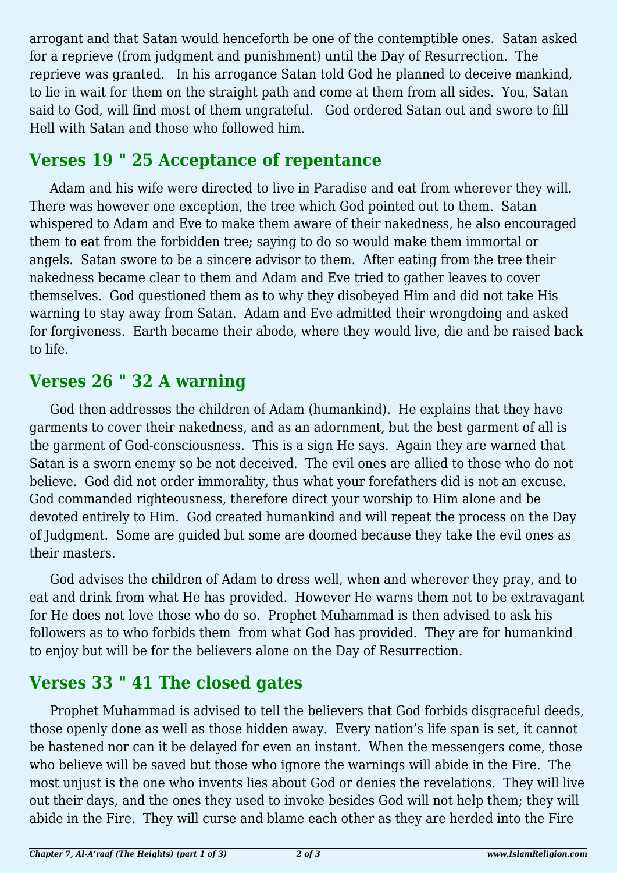arrogant and that Satan would henceforth be one of the contemptible ones. Satan asked for a reprieve (from judgment and punishment) until the Day of Resurrection. The reprieve was granted. In his arrogance Satan told God he planned to deceive mankind, to lie in wait for them on the straight path and come at them from all sides. You, Satan said to God, will find most of them ungrateful. God ordered Satan out and swore to fill Hell with Satan and those who followed him.

## **Verses 19 " 25 Acceptance of repentance**

Adam and his wife were directed to live in Paradise and eat from wherever they will. There was however one exception, the tree which God pointed out to them. Satan whispered to Adam and Eve to make them aware of their nakedness, he also encouraged them to eat from the forbidden tree; saying to do so would make them immortal or angels. Satan swore to be a sincere advisor to them. After eating from the tree their nakedness became clear to them and Adam and Eve tried to gather leaves to cover themselves. God questioned them as to why they disobeyed Him and did not take His warning to stay away from Satan. Adam and Eve admitted their wrongdoing and asked for forgiveness. Earth became their abode, where they would live, die and be raised back to life.

# **Verses 26 " 32 A warning**

God then addresses the children of Adam (humankind). He explains that they have garments to cover their nakedness, and as an adornment, but the best garment of all is the garment of God-consciousness. This is a sign He says. Again they are warned that Satan is a sworn enemy so be not deceived. The evil ones are allied to those who do not believe. God did not order immorality, thus what your forefathers did is not an excuse. God commanded righteousness, therefore direct your worship to Him alone and be devoted entirely to Him. God created humankind and will repeat the process on the Day of Judgment. Some are guided but some are doomed because they take the evil ones as their masters.

God advises the children of Adam to dress well, when and wherever they pray, and to eat and drink from what He has provided. However He warns them not to be extravagant for He does not love those who do so. Prophet Muhammad is then advised to ask his followers as to who forbids them from what God has provided. They are for humankind to enjoy but will be for the believers alone on the Day of Resurrection.

# **Verses 33 " 41 The closed gates**

Prophet Muhammad is advised to tell the believers that God forbids disgraceful deeds, those openly done as well as those hidden away. Every nation's life span is set, it cannot be hastened nor can it be delayed for even an instant. When the messengers come, those who believe will be saved but those who ignore the warnings will abide in the Fire. The most unjust is the one who invents lies about God or denies the revelations. They will live out their days, and the ones they used to invoke besides God will not help them; they will abide in the Fire. They will curse and blame each other as they are herded into the Fire